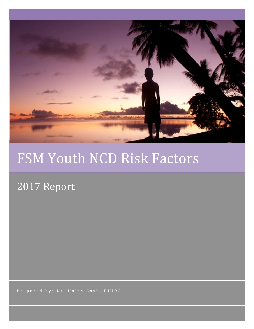

# FSM Youth NCD Risk Factors

# 2017 Report

Prepared by: Dr. Haley Cash, PIHOA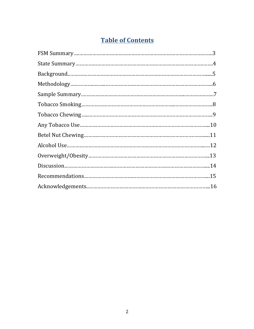# **Table of Contents**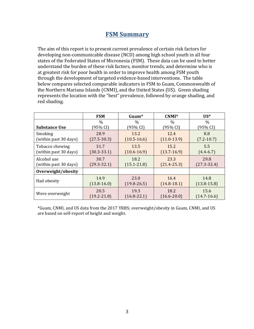#### **FSM Summary**

The aim of this report is to present current prevalence of certain risk factors for developing non-communicable disease (NCD) among high school youth in all four states of the Federated States of Micronesia (FSM). These data can be used to better understand the burden of these risk factors, monitor trends, and determine who is at greatest risk for poor health in order to improve health among FSM youth through the development of targeted evidence-based interventions. The table below compares selected comparable indicators in FSM to Guam, Commonwealth of the Northern Mariana Islands (CNMI), and the United States (US). Green shading represents the location with the "best" prevalence, followed by orange shading, and red shading.

|                       | <b>FSM</b>      | Guam <sup>*</sup> | CNMI*           | $US^*$          |
|-----------------------|-----------------|-------------------|-----------------|-----------------|
| <b>Substance Use</b>  | $\%$            | $\frac{0}{0}$     | $\%$            | $\frac{0}{0}$   |
|                       | (95% CI)        | (95% CI)          | (95% CI)        | (95% CI)        |
| Smoking               | 28.9            | 13.2              | 12.4            | 8.8             |
| (within past 30 days) | $(27.5 - 30.3)$ | $(10.5 - 16.6)$   | $(11.0-13.9)$   | $(7.2 - 10.7)$  |
| Tobacco chewing       | 31.7            | 13.5              | 15.2            | 5.5             |
| (within past 30 days) | $(30.3 - 33.1)$ | $(10.6 - 16.9)$   | $(13.7 - 16.9)$ | $(4.4 - 6.7)$   |
| Alcohol use           | 30.7            | 18.2              | 23.3            | 29.8            |
| (within past 30 days) | $(29.3 - 32.1)$ | $(15.1 - 21.8)$   | $(21.4 - 25.3)$ | $(27.3 - 32.4)$ |
| Overweight/obesity    |                 |                   |                 |                 |
| Had obesity           | 14.9            | 23.0              | 16.4            | 14.8            |
|                       | $(13.8 - 16.0)$ | $(19.8 - 26.5)$   | $(14.8-18.1)$   | $(13.8 - 15.8)$ |
| Were overweight       | 20.5            | 19.3              | 18.2            | 15.6            |
|                       | $(19.2 - 21.8)$ | $(16.8 - 22.1)$   | $(16.6 - 20.0)$ | $(14.7 - 16.6)$ |

\*Guam, CNMI, and US data from the 2017 YRBS; overweight/obesity in Guam, CNMI, and US are based on self-report of height and weight.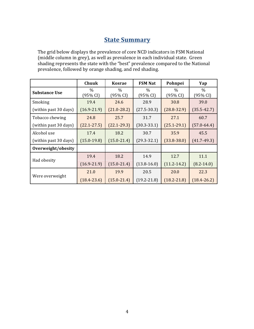## **<u>State Summary</u>**

The grid below displays the prevalence of core NCD indicators in FSM National (middle column in grey), as well as prevalence in each individual state. Green shading represents the state with the "best" prevalence compared to the National prevalence, followed by orange shading, and red shading.

|                       | Chuuk                     | <b>Kosrae</b>    | <b>FSM Nat</b>            | Pohnpei          | Yap              |
|-----------------------|---------------------------|------------------|---------------------------|------------------|------------------|
| <b>Substance Use</b>  | $\frac{0}{0}$<br>(95% CI) | $\%$<br>(95% CI) | $\frac{0}{0}$<br>(95% CI) | $\%$<br>(95% CI) | $\%$<br>(95% CI) |
| Smoking               | 19.4                      | 24.6             | 28.9                      | 30.8             | 39.0             |
| (within past 30 days) | $(16.9 - 21.9)$           | $(21.0 - 28.2)$  | $(27.5 - 30.3)$           | $(28.8 - 32.9)$  | $(35.5 - 42.7)$  |
| Tobacco chewing       | 24.8                      | 25.7             | 31.7                      | 27.1             | 60.7             |
| (within past 30 days) | $(22.1 - 27.5)$           | $(22.1 - 29.3)$  | $(30.3 - 33.1)$           | $(25.1 - 29.1)$  | $(57.0 - 64.4)$  |
| Alcohol use           | 17.4                      | 18.2             | 30.7                      | 35.9             | 45.5             |
| (within past 30 days) | $(15.0-19.8)$             | $(15.0 - 21.4)$  | $(29.3 - 32.1)$           | $(33.8 - 38.0)$  | $(41.7-49.3)$    |
| Overweight/obesity    |                           |                  |                           |                  |                  |
| Had obesity           | 19.4                      | 18.2             | 14.9                      | 12.7             | 11.1             |
|                       | $(16.9 - 21.9)$           | $(15.0 - 21.4)$  | $(13.8 - 16.0)$           | $(11.2 - 14.2)$  | $(8.2 - 14.0)$   |
| Were overweight       | 21.0                      | 19.9             | 20.5                      | 20.0             | 22.3             |
|                       | $(18.4 - 23.6)$           | $(15.0 - 21.4)$  | $(19.2 - 21.8)$           | $(18.2 - 21.8)$  | $(18.4 - 26.2)$  |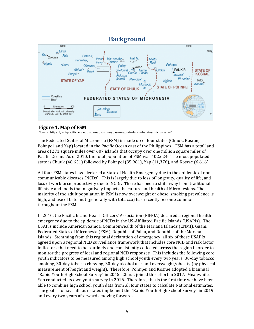

#### **Figure 1. Map of FSM**

Source: https://asiapacific.anu.edu.au/mapsonline/base-maps/federated-states-micronesia-0

The Federated States of Micronesia (FSM) is made up of four states (Chuuk, Kosrae, Pohnpei, and Yap) located in the Pacific Ocean east of the Philippines. FSM has a total land area of 271 square miles over 607 islands that occupy over one million square miles of Pacific Ocean. As of 2010, the total population of FSM was 102,624. The most populated state is Chuuk  $(48,651)$  followed by Pohnpei  $(35,981)$ , Yap  $(11,376)$ , and Kosrae  $(6,616)$ .

All four FSM states have declared a State of Health Emergency due to the epidemic of noncommunicable diseases (NCDs). This is largely due to loss of longevity, quality of life, and loss of workforce productivity due to NCDs. There has been a shift away from traditional lifestyle and foods that negatively impacts the culture and health of Micronesians. The majority of the adult population in FSM is now overweight or obese, smoking prevalence is high, and use of betel nut (generally with tobacco) has recently become common throughout the FSM.

In 2010, the Pacific Island Health Officers' Association (PIHOA) declared a regional health emergency due to the epidemic of NCDs in the US-Affiliated Pacific Islands (USAPIs). The USAPIs include American Samoa, Commonwealth of the Mariana Islands (CNMI), Guam, Federated States of Micronesia (FSM), Republic of Palau, and Republic of the Marshall Islands. Stemming from this regional declaration of emergency, all six of these USAPIs agreed upon a regional NCD surveillance framework that includes core NCD and risk factor indicators that need to be routinely and consistently collected across the region in order to monitor the progress of local and regional NCD responses. This includes the following core youth indicators to be measured among high school youth every two years: 30-day tobacco smoking, 30-day tobacco chewing, 30-day alcohol use, and overweight/obesity (by physical measurement of height and weight). Therefore, Pohnpei and Kosrae adopted a biannual "Rapid Youth High School Survey" in 2015. Chuuk joined this effort in 2017. Meanwhile, Yap conducted its own youth survey in 2016. Therefore, this is the first time we have been able to combine high school youth data from all four states to calculate National estimates. The goal is to have all four states implement the "Rapid Youth High School Survey" in 2019 and every two years afterwards moving forward.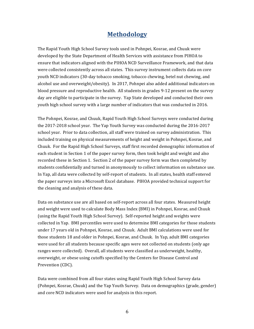#### **Methodology**

The Rapid Youth High School Survey tools used in Pohnpei, Kosrae, and Chuuk were developed by the State Department of Health Services with assistance from PIHOA to ensure that indicators aligned with the PIHOA NCD Surveillance Framework, and that data were collected consistently across all states. This survey instrument collects data on core youth NCD indicators (30-day tobacco smoking, tobacco chewing, betel nut chewing, and alcohol use and overweight/obesity). In 2017, Pohnpei also added additional indicators on blood pressure and reproductive health. All students in grades 9-12 present on the survey day are eligible to participate in the survey. Yap State developed and conducted their own youth high school survey with a large number of indicators that was conducted in 2016.

The Pohnpei, Kosrae, and Chuuk, Rapid Youth High School Surveys were conducted during the 2017-2018 school year. The Yap Youth Survey was conducted during the 2016-2017 school year. Prior to data collection, all staff were trained on survey administration. This included training on physical measurements of height and weight in Pohnpei, Kosrae, and Chuuk. For the Rapid High School Surveys, staff first recorded demographic information of each student in Section 1 of the paper survey form, then took height and weight and also recorded these in Section 1. Section 2 of the paper survey form was then completed by students confidentially and turned in anonymously to collect information on substance use. In Yap, all data were collected by self-report of students. In all states, health staff entered the paper surveys into a Microsoft Excel database. PIHOA provided technical support for the cleaning and analysis of these data.

Data on substance use are all based on self-report across all four states. Measured height and weight were used to calculate Body Mass Index (BMI) in Pohnpei, Kosrae, and Chuuk (using the Rapid Youth High School Survey). Self-reported height and weights were collected in Yap. BMI percentiles were used to determine BMI categories for those students under 17 years old in Pohnpei, Kosrae, and Chuuk. Adult BMI calculations were used for those students 18 and older in Pohnpei, Kosrae, and Chuuk. In Yap, adult BMI categories were used for all students because specific ages were not collected on students (only age ranges were collected). Overall, all students were classified as underweight, healthy, overweight, or obese using cutoffs specified by the Centers for Disease Control and Prevention (CDC).

Data were combined from all four states using Rapid Youth High School Survey data (Pohnpei, Kosrae, Chuuk) and the Yap Youth Survey. Data on demographics (grade, gender) and core NCD indicators were used for analysis in this report.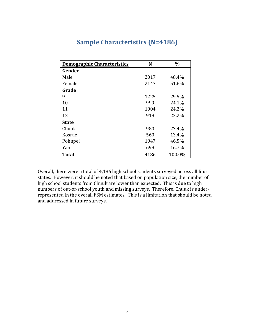| <b>Demographic Characteristics</b> | N    | $\frac{0}{0}$ |
|------------------------------------|------|---------------|
| Gender                             |      |               |
| Male                               | 2017 | 48.4%         |
| Female                             | 2147 | 51.6%         |
| Grade                              |      |               |
| 9                                  | 1225 | 29.5%         |
| 10                                 | 999  | 24.1%         |
| 11                                 | 1004 | 24.2%         |
| 12                                 | 919  | 22.2%         |
| <b>State</b>                       |      |               |
| Chuuk                              | 980  | 23.4%         |
| Kosrae                             | 560  | 13.4%         |
| Pohnpei                            | 1947 | 46.5%         |
| Yap                                | 699  | 16.7%         |
| <b>Total</b>                       | 4186 | 100.0%        |

# **Sample Characteristics (N=4186)**

Overall, there were a total of 4,186 high school students surveyed across all four states. However, it should be noted that based on population size, the number of high school students from Chuuk are lower than expected. This is due to high numbers of out-of-school youth and missing surveys. Therefore, Chuuk is underrepresented in the overall FSM estimates. This is a limitation that should be noted and addressed in future surveys.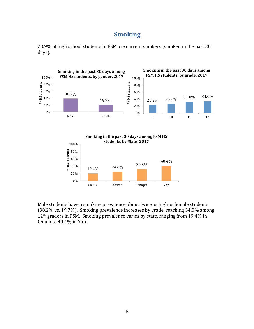#### **Smoking**







Male students have a smoking prevalence about twice as high as female students (38.2% vs. 19.7%). Smoking prevalence increases by grade, reaching 34.0% among 12<sup>th</sup> graders in FSM. Smoking prevalence varies by state, ranging from 19.4% in Chuuk to  $40.4\%$  in Yap.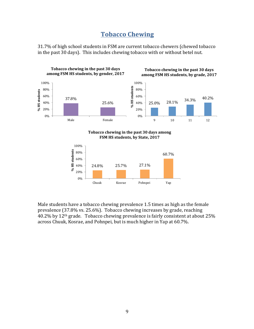#### **Tobacco Chewing**

31.7% of high school students in FSM are current tobacco chewers (chewed tobacco in the past 30 days). This includes chewing tobacco with or without betel nut.



Male students have a tobacco chewing prevalence 1.5 times as high as the female prevalence (37.8% vs. 25.6%). Tobacco chewing increases by grade, reaching 40.2% by 12<sup>th</sup> grade. Tobacco chewing prevalence is fairly consistent at about 25% across Chuuk, Kosrae, and Pohnpei, but is much higher in Yap at 60.7%.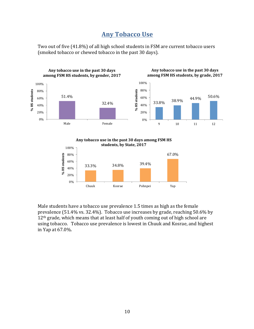#### **Any Tobacco Use**

Two out of five (41.8%) of all high school students in FSM are current tobacco users (smoked tobacco or chewed tobacco in the past 30 days).



Any tobacco use in the past 30 days among FSM HS students, by State, 2017



Male students have a tobacco use prevalence 1.5 times as high as the female prevalence  $(51.4\% \text{ vs. } 32.4\%)$ . Tobacco use increases by grade, reaching  $50.6\%$  by 12<sup>th</sup> grade, which means that at least half of youth coming out of high school are using tobacco. Tobacco use prevalence is lowest in Chuuk and Kosrae, and highest in Yap at 67.0%.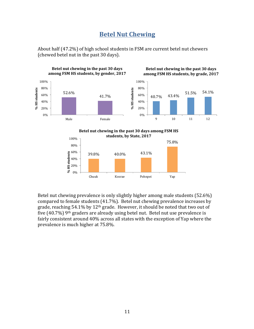#### **Betel Nut Chewing**

About half (47.2%) of high school students in FSM are current betel nut chewers (chewed betel nut in the past 30 days).



Betel nut chewing prevalence is only slightly higher among male students (52.6%) compared to female students  $(41.7%)$ . Betel nut chewing prevalence increases by grade, reaching  $54.1\%$  by  $12<sup>th</sup>$  grade. However, it should be noted that two out of five  $(40.7\%)$  9<sup>th</sup> graders are already using betel nut. Betel nut use prevalence is fairly consistent around 40% across all states with the exception of Yap where the prevalence is much higher at 75.8%.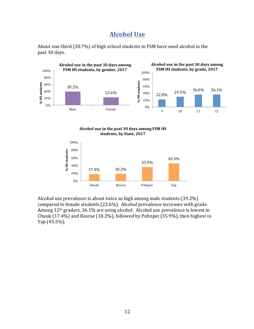#### **Alcohol Use**









Alcohol use prevalence is about twice as high among male students  $(39.2\%)$ compared to female students (22.6%). Alcohol prevalence increases with grade. Among  $12<sup>th</sup>$  graders,  $36.1\%$  are using alcohol. Alcohol use prevalence is lowest in Chuuk  $(17.4\%)$  and Kosrae  $(18.2\%)$ , followed by Pohnpei  $(35.9\%)$ , then highest in Yap  $(45.5\%)$ .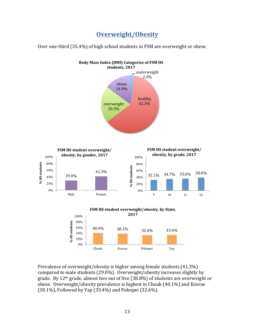**Overweight/Obesity**

Over one-third (35.4%) of high school students in FSM are overweight or obese.



Prevalence of overweight/obesity is higher among female students (41.3%) compared to male students (29.0%). Overweight/obesity increases slightly by grade. By  $12<sup>th</sup>$  grade, almost two out of five (38.8%) of students are overweight or obese. Overweight/obesity prevalence is highest in Chuuk (40.1%) and Kosrae  $(38.1\%)$ , Followed by Yap  $(33.4\%)$  and Pohnpei  $(32.6\%)$ .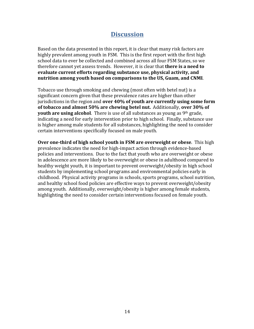#### **Discussion**

Based on the data presented in this report, it is clear that many risk factors are highly prevalent among youth in FSM. This is the first report with the first high school data to ever be collected and combined across all four FSM States, so we therefore cannot yet assess trends. However, it is clear that **there is a need to** evaluate current efforts regarding substance use, physical activity, and **nutrition** among youth based on comparisons to the US, Guam, and CNMI.

Tobacco use through smoking and chewing (most often with betel nut) is a significant concern given that these prevalence rates are higher than other jurisdictions in the region and **over 40% of youth are currently using some form** of tobacco and almost 50% are chewing betel nut. Additionally, over 30% of **youth are using alcohol**. There is use of all substances as young as 9<sup>th</sup> grade, indicating a need for early intervention prior to high school. Finally, substance use is higher among male students for all substances, highlighting the need to consider certain interventions specifically focused on male youth.

**Over one-third of high school youth in FSM are overweight or obese.** This high prevalence indicates the need for high-impact action through evidence-based policies and interventions. Due to the fact that youth who are overweight or obese in adolescence are more likely to be overweight or obese in adulthood compared to healthy weight youth, it is important to prevent overweight/obesity in high school students by implementing school programs and environmental policies early in childhood. Physical activity programs in schools, sports programs, school nutrition, and healthy school food policies are effective ways to prevent overweight/obesity among youth. Additionally, overweight/obesity is higher among female students, highlighting the need to consider certain interventions focused on female youth.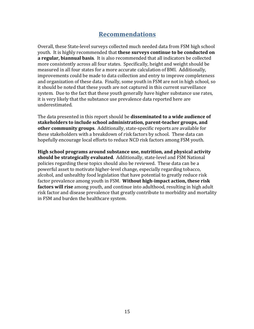#### **Recommendations**

Overall, these State-level surveys collected much needed data from FSM high school youth. It is highly recommended that **these surveys continue to be conducted on a regular, biannual basis**. It is also recommended that all indicators be collected more consistently across all four states. Specifically, height and weight should be measured in all four states for a more accurate calculation of BMI. Additionally, improvements could be made to data collection and entry to improve completeness and organization of these data. Finally, some youth in FSM are not in high school, so it should be noted that these youth are not captured in this current surveillance system. Due to the fact that these youth generally have higher substance use rates, it is very likely that the substance use prevalence data reported here are underestimated. 

The data presented in this report should be **disseminated to a wide audience of stakeholders to include school administration, parent-teacher groups, and other community groups**. Additionally, state-specific reports are available for these stakeholders with a breakdown of risk factors by school. These data can hopefully encourage local efforts to reduce NCD risk factors among FSM youth.

**High school programs around substance use, nutrition, and physical activity should be strategically evaluated**. Additionally, state-level and FSM National policies regarding these topics should also be reviewed. These data can be a powerful asset to motivate higher-level change, especially regarding tobacco, alcohol, and unhealthy food legislation that have potential to greatly reduce risk factor prevalence among youth in FSM. Without high-impact action, these risk **factors will rise** among youth, and continue into adulthood, resulting in high adult risk factor and disease prevalence that greatly contribute to morbidity and mortality in FSM and burden the healthcare system.